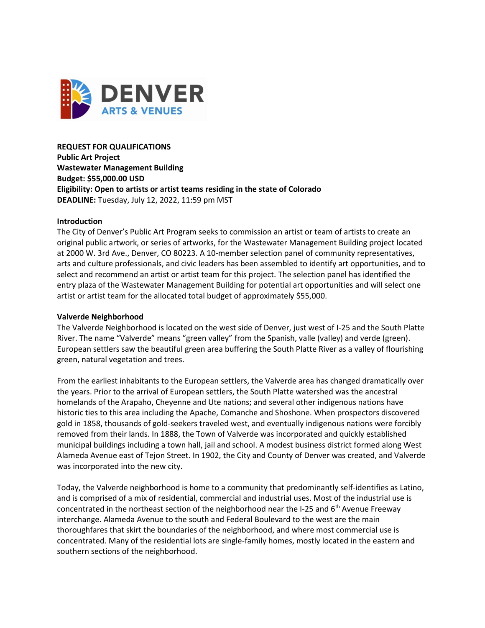

**REQUEST FOR QUALIFICATIONS Public Art Project Wastewater Management Building Budget: \$55,000.00 USD Eligibility: Open to artists or artist teams residing in the state of Colorado DEADLINE:** Tuesday, July 12, 2022, 11:59 pm MST

### **Introduction**

The City of Denver's Public Art Program seeks to commission an artist or team of artists to create an original public artwork, or series of artworks, for the Wastewater Management Building project located at 2000 W. 3rd Ave., Denver, CO 80223. A 10-member selection panel of community representatives, arts and culture professionals, and civic leaders has been assembled to identify art opportunities, and to select and recommend an artist or artist team for this project. The selection panel has identified the entry plaza of the Wastewater Management Building for potential art opportunities and will select one artist or artist team for the allocated total budget of approximately \$55,000.

### **Valverde Neighborhood**

The Valverde Neighborhood is located on the west side of Denver, just west of I-25 and the South Platte River. The name "Valverde" means "green valley" from the Spanish, valle (valley) and verde (green). European settlers saw the beautiful green area buffering the South Platte River as a valley of flourishing green, natural vegetation and trees.

From the earliest inhabitants to the European settlers, the Valverde area has changed dramatically over the years. Prior to the arrival of European settlers, the South Platte watershed was the ancestral homelands of the Arapaho, Cheyenne and Ute nations; and several other indigenous nations have historic ties to this area including the Apache, Comanche and Shoshone. When prospectors discovered gold in 1858, thousands of gold-seekers traveled west, and eventually indigenous nations were forcibly removed from their lands. In 1888, the Town of Valverde was incorporated and quickly established municipal buildings including a town hall, jail and school. A modest business district formed along West Alameda Avenue east of Tejon Street. In 1902, the City and County of Denver was created, and Valverde was incorporated into the new city.

Today, the Valverde neighborhood is home to a community that predominantly self-identifies as Latino, and is comprised of a mix of residential, commercial and industrial uses. Most of the industrial use is concentrated in the northeast section of the neighborhood near the I-25 and 6<sup>th</sup> Avenue Freeway interchange. Alameda Avenue to the south and Federal Boulevard to the west are the main thoroughfares that skirt the boundaries of the neighborhood, and where most commercial use is concentrated. Many of the residential lots are single-family homes, mostly located in the eastern and southern sections of the neighborhood.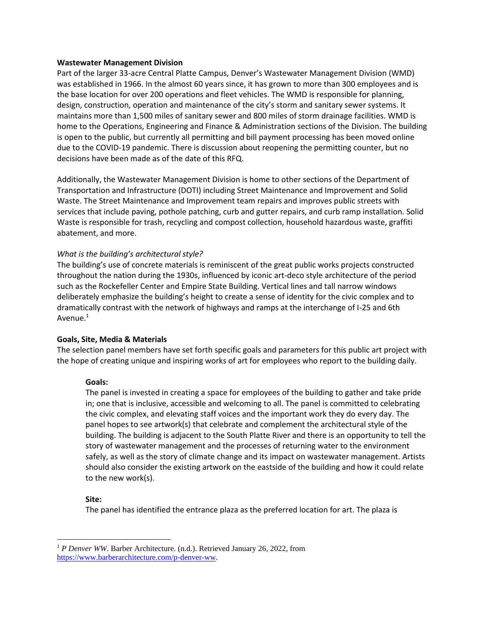### **Wastewater Management Division**

Part of the larger 33-acre Central Platte Campus, Denver's Wastewater Management Division (WMD) was established in 1966. In the almost 60 years since, it has grown to more than 300 employees and is the base location for over 200 operations and fleet vehicles. The WMD is responsible for planning, design, construction, operation and maintenance of the city's storm and sanitary sewer systems. It maintains more than 1,500 miles of sanitary sewer and 800 miles of storm drainage facilities. WMD is home to the Operations, Engineering and Finance & Administration sections of the Division. The building is open to the public, but currently all permitting and bill payment processing has been moved online due to the COVID-19 pandemic. There is discussion about reopening the permitting counter, but no decisions have been made as of the date of this RFQ.

Additionally, the Wastewater Management Division is home to other sections of the Department of Transportation and Infrastructure (DOTI) including Street Maintenance and Improvement and Solid Waste. The Street Maintenance and Improvement team repairs and improves public streets with services that include paving, pothole patching, curb and gutter repairs, and curb ramp installation. Solid Waste is responsible for trash, recycling and compost collection, household hazardous waste, graffiti abatement, and more.

# *What is the building's architectural style?*

The building's use of concrete materials is reminiscent of the great public works projects constructed throughout the nation during the 1930s, influenced by iconic art-deco style architecture of the period such as the Rockefeller Center and Empire State Building. Vertical lines and tall narrow windows deliberately emphasize the building's height to create a sense of identity for the civic complex and to dramatically contrast with the network of highways and ramps at the interchange of I-25 and 6th Avenue.<sup>1</sup>

# **Goals, Site, Media & Materials**

The selection panel members have set forth specific goals and parameters for this public art project with the hope of creating unique and inspiring works of art for employees who report to the building daily.

### **Goals:**

The panel is invested in creating a space for employees of the building to gather and take pride in; one that is inclusive, accessible and welcoming to all. The panel is committed to celebrating the civic complex, and elevating staff voices and the important work they do every day. The panel hopes to see artwork(s) that celebrate and complement the architectural style of the building. The building is adjacent to the South Platte River and there is an opportunity to tell the story of wastewater management and the processes of returning water to the environment safely, as well as the story of climate change and its impact on wastewater management. Artists should also consider the existing artwork on the eastside of the building and how it could relate to the new work(s).

### **Site:**

The panel has identified the entrance plaza as the preferred location for art. The plaza is

<sup>&</sup>lt;sup>1</sup> *P Denver WW*. Barber Architecture. (n.d.). Retrieved January 26, 2022, from [https://www.barberarchitecture.com/p-denver-ww.](https://www.barberarchitecture.com/p-denver-ww)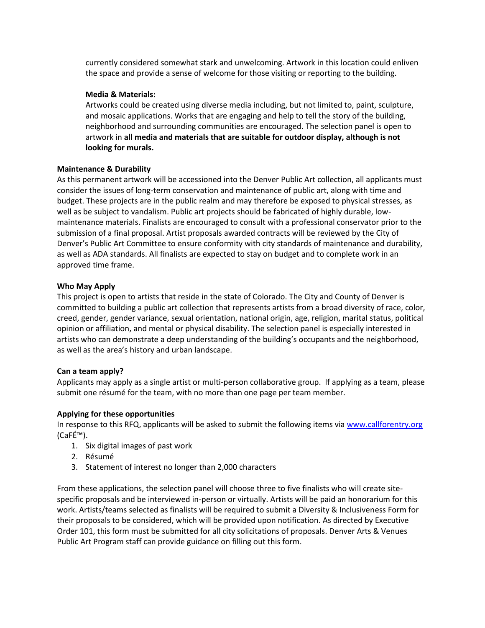currently considered somewhat stark and unwelcoming. Artwork in this location could enliven the space and provide a sense of welcome for those visiting or reporting to the building.

## **Media & Materials:**

Artworks could be created using diverse media including, but not limited to, paint, sculpture, and mosaic applications. Works that are engaging and help to tell the story of the building, neighborhood and surrounding communities are encouraged. The selection panel is open to artwork in **all media and materials that are suitable for outdoor display, although is not looking for murals.**

# **Maintenance & Durability**

As this permanent artwork will be accessioned into the Denver Public Art collection, all applicants must consider the issues of long-term conservation and maintenance of public art, along with time and budget. These projects are in the public realm and may therefore be exposed to physical stresses, as well as be subject to vandalism. Public art projects should be fabricated of highly durable, lowmaintenance materials. Finalists are encouraged to consult with a professional conservator prior to the submission of a final proposal. Artist proposals awarded contracts will be reviewed by the City of Denver's Public Art Committee to ensure conformity with city standards of maintenance and durability, as well as ADA standards. All finalists are expected to stay on budget and to complete work in an approved time frame.

# **Who May Apply**

This project is open to artists that reside in the state of Colorado. The City and County of Denver is committed to building a public art collection that represents artists from a broad diversity of race, color, creed, gender, gender variance, sexual orientation, national origin, age, religion, marital status, political opinion or affiliation, and mental or physical disability. The selection panel is especially interested in artists who can demonstrate a deep understanding of the building's occupants and the neighborhood, as well as the area's history and urban landscape.

# **Can a team apply?**

Applicants may apply as a single artist or multi-person collaborative group. If applying as a team, please submit one résumé for the team, with no more than one page per team member.

# **Applying for these opportunities**

In response to this RFQ, applicants will be asked to submit the following items via [www.callforentry.org](http://www.callforentry.org/) (CaFÉ™).

- 1. Six digital images of past work
- 2. Résumé
- 3. Statement of interest no longer than 2,000 characters

From these applications, the selection panel will choose three to five finalists who will create sitespecific proposals and be interviewed in-person or virtually. Artists will be paid an honorarium for this work. Artists/teams selected as finalists will be required to submit a Diversity & Inclusiveness Form for their proposals to be considered, which will be provided upon notification. As directed by Executive Order 101, this form must be submitted for all city solicitations of proposals. Denver Arts & Venues Public Art Program staff can provide guidance on filling out this form.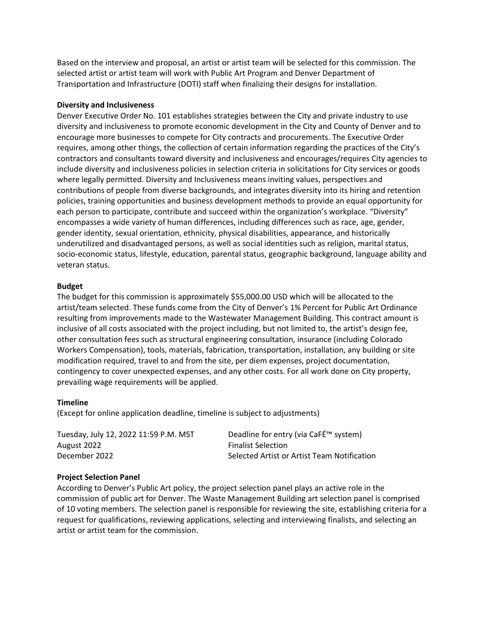Based on the interview and proposal, an artist or artist team will be selected for this commission. The selected artist or artist team will work with Public Art Program and Denver Department of Transportation and Infrastructure (DOTI) staff when finalizing their designs for installation.

### **Diversity and Inclusiveness**

Denver Executive Order No. 101 establishes strategies between the City and private industry to use diversity and inclusiveness to promote economic development in the City and County of Denver and to encourage more businesses to compete for City contracts and procurements. The Executive Order requires, among other things, the collection of certain information regarding the practices of the City's contractors and consultants toward diversity and inclusiveness and encourages/requires City agencies to include diversity and inclusiveness policies in selection criteria in solicitations for City services or goods where legally permitted. Diversity and Inclusiveness means inviting values, perspectives and contributions of people from diverse backgrounds, and integrates diversity into its hiring and retention policies, training opportunities and business development methods to provide an equal opportunity for each person to participate, contribute and succeed within the organization's workplace. "Diversity" encompasses a wide variety of human differences, including differences such as race, age, gender, gender identity, sexual orientation, ethnicity, physical disabilities, appearance, and historically underutilized and disadvantaged persons, as well as social identities such as religion, marital status, socio-economic status, lifestyle, education, parental status, geographic background, language ability and veteran status.

### **Budget**

The budget for this commission is approximately \$55,000.00 USD which will be allocated to the artist/team selected. These funds come from the City of Denver's 1% Percent for Public Art Ordinance resulting from improvements made to the Wastewater Management Building. This contract amount is inclusive of all costs associated with the project including, but not limited to, the artist's design fee, other consultation fees such as structural engineering consultation, insurance (including Colorado Workers Compensation), tools, materials, fabrication, transportation, installation, any building or site modification required, travel to and from the site, per diem expenses, project documentation, contingency to cover unexpected expenses, and any other costs. For all work done on City property, prevailing wage requirements will be applied.

# **Timeline**

(Except for online application deadline, timeline is subject to adjustments)

| Tuesday, July 12, 2022 11:59 P.M. MST | Deadline for entry (via CaFÉ™ system)       |
|---------------------------------------|---------------------------------------------|
| August 2022                           | <b>Finalist Selection</b>                   |
| December 2022                         | Selected Artist or Artist Team Notification |

# **Project Selection Panel**

According to Denver's Public Art policy, the project selection panel plays an active role in the commission of public art for Denver. The Waste Management Building art selection panel is comprised of 10 voting members. The selection panel is responsible for reviewing the site, establishing criteria for a request for qualifications, reviewing applications, selecting and interviewing finalists, and selecting an artist or artist team for the commission.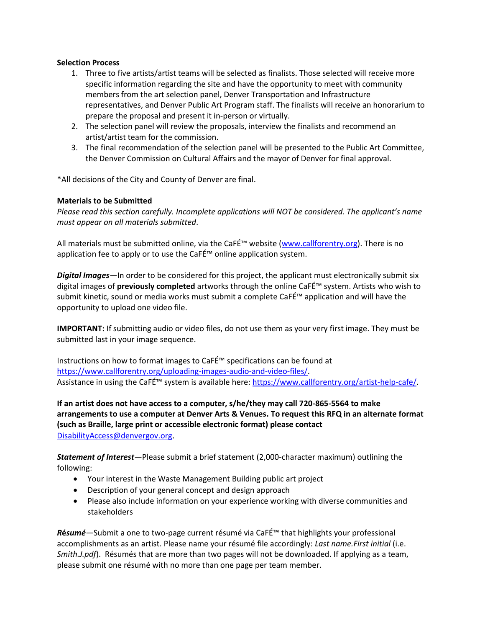## **Selection Process**

- 1. Three to five artists/artist teams will be selected as finalists. Those selected will receive more specific information regarding the site and have the opportunity to meet with community members from the art selection panel, Denver Transportation and Infrastructure representatives, and Denver Public Art Program staff. The finalists will receive an honorarium to prepare the proposal and present it in-person or virtually.
- 2. The selection panel will review the proposals, interview the finalists and recommend an artist/artist team for the commission.
- 3. The final recommendation of the selection panel will be presented to the Public Art Committee, the Denver Commission on Cultural Affairs and the mayor of Denver for final approval.

\*All decisions of the City and County of Denver are final.

# **Materials to be Submitted**

*Please read this section carefully. Incomplete applications will NOT be considered. The applicant's name must appear on all materials submitted*.

All materials must be submitted online, via the CaFÉ™ website ([www.callforentry.org\)](http://www.callforentry.org/). There is no application fee to apply or to use the CaFÉ™ online application system.

*Digital Images—*In order to be considered for this project, the applicant must electronically submit six digital images of **previously completed** artworks through the online CaFÉ™ system. Artists who wish to submit kinetic, sound or media works must submit a complete CaFÉ™ application and will have the opportunity to upload one video file.

**IMPORTANT:** If submitting audio or video files, do not use them as your very first image. They must be submitted last in your image sequence.

Instructions on how to format images to CaFÉ™ specifications can be found at [https://www.callforentry.org/uploading-images-audio-and-video-files/.](https://www.callforentry.org/uploading-images-audio-and-video-files/) Assistance in using the CaFÉ™ system is available here[: https://www.callforentry.org/artist-help-cafe/.](https://www.callforentry.org/artist-help-cafe/)

**If an artist does not have access to a computer, s/he/they may call 720-865-5564 to make arrangements to use a computer at Denver Arts & Venues. To request this RFQ in an alternate format (such as Braille, large print or accessible electronic format) please contact**  [DisabilityAccess@denvergov.org](mailto:DisabilityAccess@denvergov.org).

*Statement of Interest—*Please submit a brief statement (2,000-character maximum) outlining the following:

- Your interest in the Waste Management Building public art project
- Description of your general concept and design approach
- Please also include information on your experience working with diverse communities and stakeholders

*R***é***sumé—*Submit a one to two-page current résumé via CaFÉ™ that highlights your professional accomplishments as an artist. Please name your résumé file accordingly: *Last name.First initial* (i.e. *Smith.J.pdf*). Résumés that are more than two pages will not be downloaded. If applying as a team, please submit one résumé with no more than one page per team member.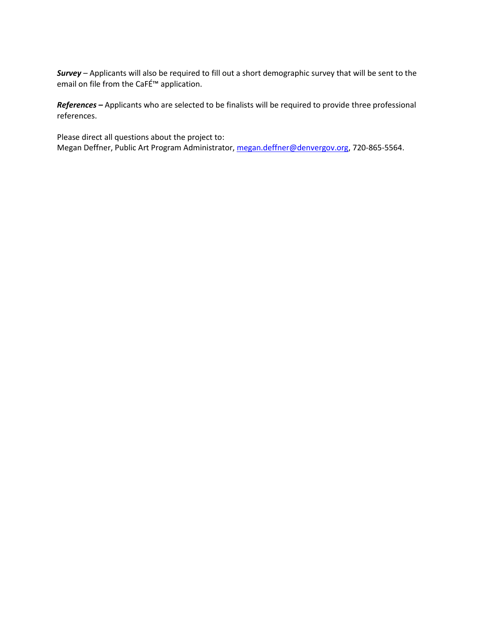*Survey –* Applicants will also be required to fill out a short demographic survey that will be sent to the email on file from the CaFÉ™ application.

*References –* Applicants who are selected to be finalists will be required to provide three professional references.

Please direct all questions about the project to: Megan Deffner, Public Art Program Administrator, [megan.deffner@denvergov.org,](mailto:megan.deffner@denvergov.org) 720-865-5564.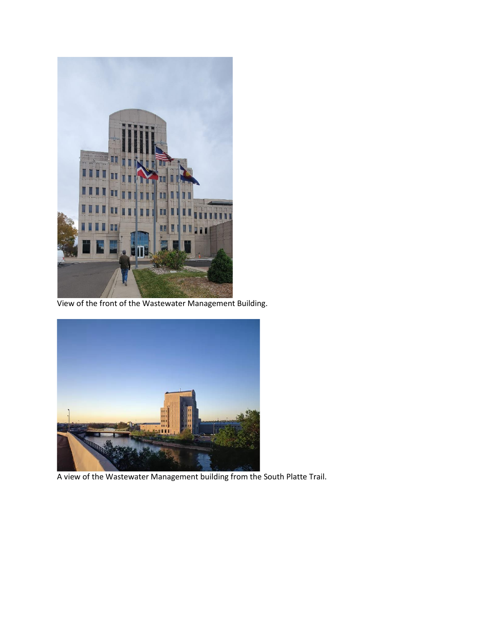

View of the front of the Wastewater Management Building.



A view of the Wastewater Management building from the South Platte Trail.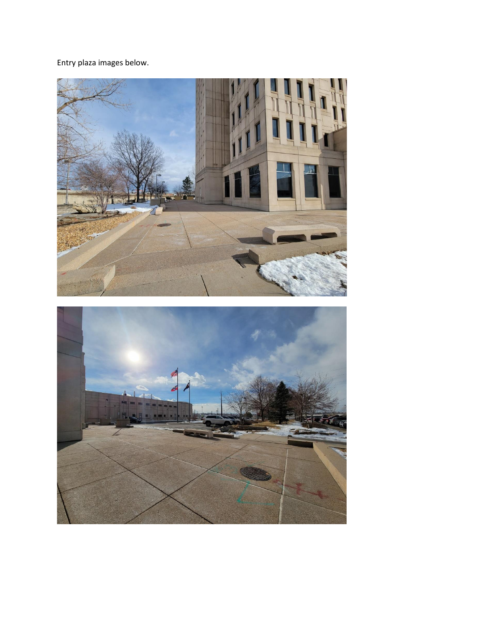Entry plaza images below.